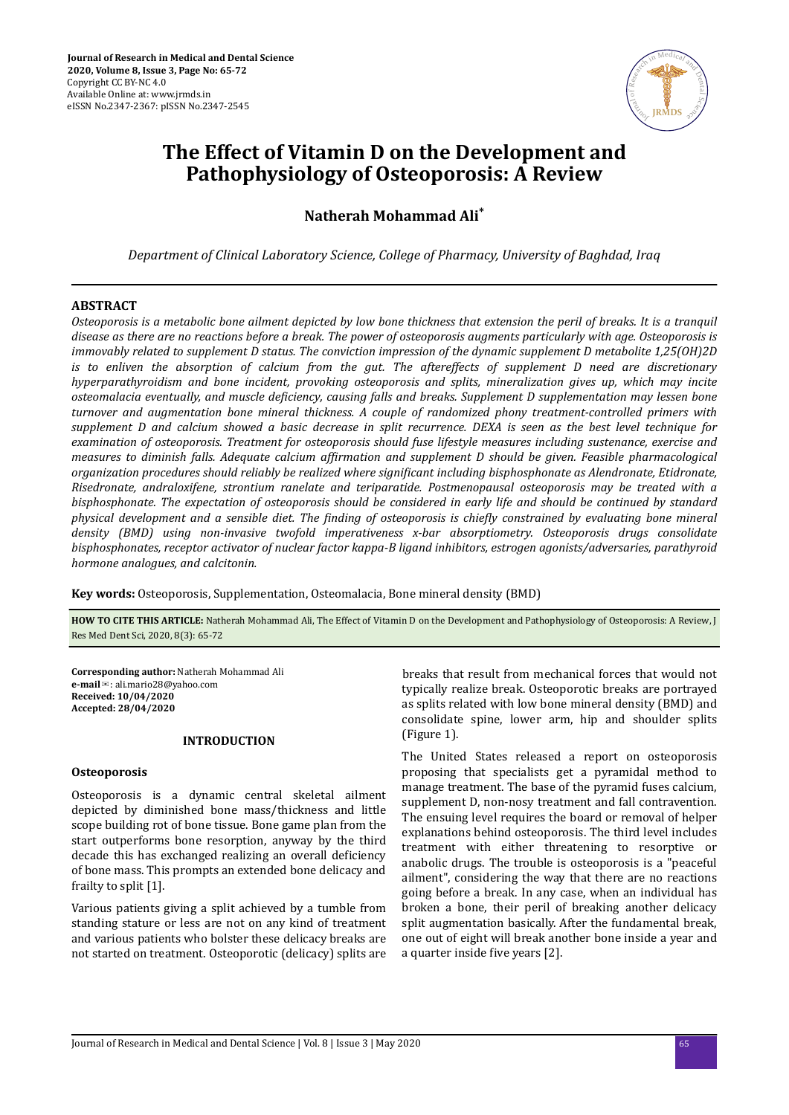

# **The Effect of Vitamin D on the Development and Pathophysiology of Osteoporosis: A Review**

**Natherah Mohammad Ali\***

*Department of Clinical Laboratory Science, College of Pharmacy, University of Baghdad, Iraq*

# **ABSTRACT**

*Osteoporosis is a metabolic bone ailment depicted by low bone thickness that extension the peril of breaks. It is a tranquil disease as there are no reactions before a break. The power of osteoporosis augments particularly with age. Osteoporosis is immovably related to supplement D status. The conviction impression of the dynamic supplement D metabolite 1,25(OH)2D is to enliven the absorption of calcium from the gut. The aftereffects of supplement D need are discretionary hyperparathyroidism and bone incident, provoking osteoporosis and splits, mineralization gives up, which may incite osteomalacia eventually, and muscle deϔiciencǡ causing falls and breaks. Supplement D supplementation may lessen bone turnover and augmentation bone mineral thickness. A couple of randomized phony treatment-controlled primers with supplement D and calcium showed a basic decrease in split recurrence. DEXA is seen as the best level technique for examination of osteoporosis. Treatment for osteoporosis should fuse lifestyle measures including sustenance, exercise and measures to diminish falls. Adequate calcium affirmation and supplement D should be given. Feasible pharmacological organization procedures should reliably be realized where signiϔicnt including bisphosphonate as Alendronate, Etidronate, Risedronate, andraloxifene, strontium ranelate and teriparatide. Postmenopausal osteoporosis may be treated with a bisphosphonate. The expectation of osteoporosis should be considered in early life and should be continued by standard physical development and a sensible diet. The ϔinding of osteoporosis is chieϔl constrained by evaluating bone mineral density (BMD) using non-invasive twofold imperativeness x-bar absorptiometry. Osteoporosis drugs consolidate bisphosphonates, receptor activator of nuclear factor kappa-B ligand inhibitors, estrogen agonists/adversaries, parathyroid hormone analogues, and calcitonin.*

**Key words:** Osteoporosis, Supplementation, Osteomalacia, Bone mineral density (BMD)

**HOW TO CITE THIS ARTICLE:** Natherah Mohammad Ali, The Effect of Vitamin D on the Development and Pathophysiology of Osteoporosis: A Review, J Res Med Dent Sci, 2020, 8(3): 65-72

**Corresponding author:** Natherah Mohammad Ali **e-mail**✉: ali.mario28@yahoo.com **Received: 10/04/2020 Accepted: 28/04/2020** 

# **INTRODUCTION**

# **Osteoporosis**

Osteoporosis is a dynamic central skeletal ailment depicted by diminished bone mass/thickness and little scope building rot of bone tissue. Bone game plan from the start outperforms bone resorption, anyway by the third decade this has exchanged realizing an overall deficiency of bone mass. This prompts an extended bone delicacy and frailty to split [1].

Various patients giving a split achieved by a tumble from standing stature or less are not on any kind of treatment and various patients who bolster these delicacy breaks are not started on treatment. Osteoporotic (delicacy) splits are breaks that result from mechanical forces that would not typically realize break. Osteoporotic breaks are portrayed as splits related with low bone mineral density (BMD) and consolidate spine, lower arm, hip and shoulder splits (Figure 1).

The United States released a report on osteoporosis proposing that specialists get a pyramidal method to manage treatment. The base of the pyramid fuses calcium, supplement D, non-nosy treatment and fall contravention. The ensuing level requires the board or removal of helper explanations behind osteoporosis. The third level includes treatment with either threatening to resorptive or anabolic drugs. The trouble is osteoporosis is a "peaceful ailment", considering the way that there are no reactions going before a break. In any case, when an individual has broken a bone, their peril of breaking another delicacy split augmentation basically. After the fundamental break, one out of eight will break another bone inside a year and a quarter inside five years [2].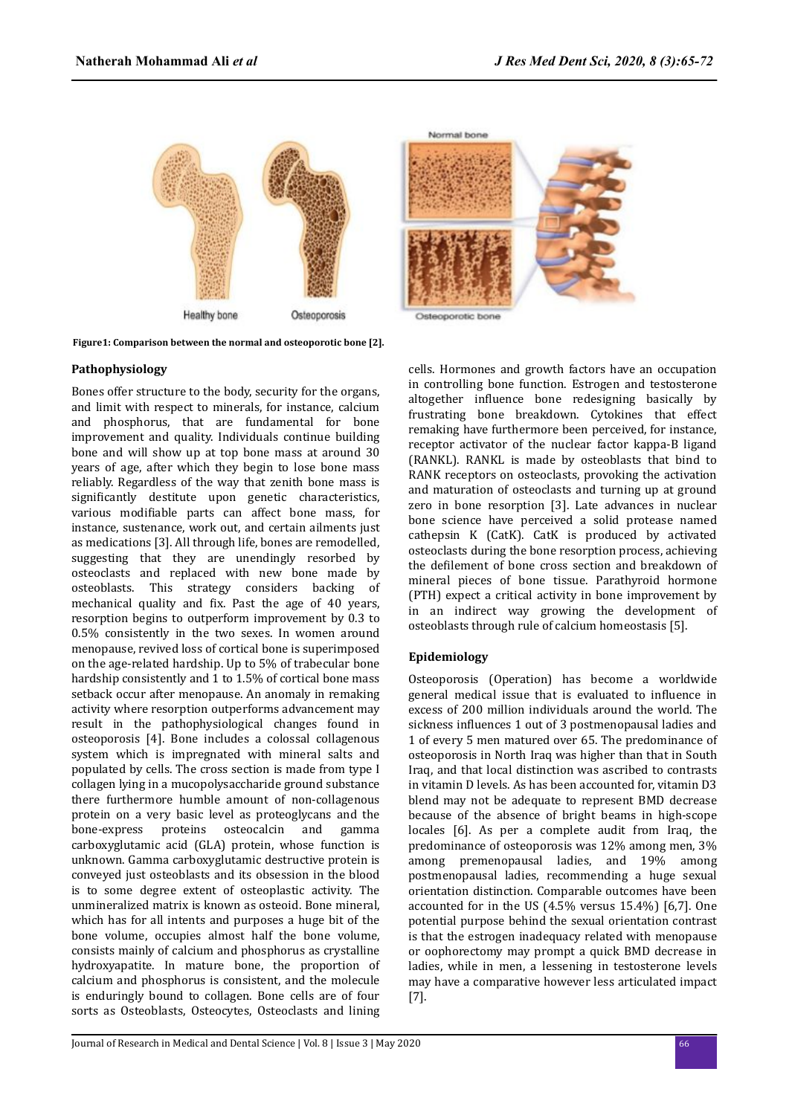

**Figure1: Comparison between the normal and osteoporotic bone [2].**

### **Pathophysiology**

Bones offer structure to the body, security for the organs, and limit with respect to minerals, for instance, calcium and phosphorus, that are fundamental for bone improvement and quality. Individuals continue building bone and will show up at top bone mass at around 30 years of age, after which they begin to lose bone mass reliably. Regardless of the way that zenith bone mass is significantly destitute upon genetic characteristics, various modifiable parts can affect bone mass, for instance, sustenance, work out, and certain ailments just as medications [3]. All through life, bones are remodelled, suggesting that they are unendingly resorbed by osteoclasts and replaced with new bone made by osteoblasts. This strategy considers backing of mechanical quality and fix. Past the age of 40 years, resorption begins to outperform improvement by 0.3 to 0.5% consistently in the two sexes. In women around menopause, revived loss of cortical bone is superimposed on the age-related hardship. Up to 5% of trabecular bone hardship consistently and 1 to 1.5% of cortical bone mass setback occur after menopause. An anomaly in remaking activity where resorption outperforms advancement may result in the pathophysiological changes found in osteoporosis [4]. Bone includes a colossal collagenous system which is impregnated with mineral salts and populated by cells. The cross section is made from type I collagen lying in a mucopolysaccharide ground substance there furthermore humble amount of non-collagenous protein on a very basic level as proteoglycans and the bone-express proteins osteocalcin and gamma carboxyglutamic acid (GLA) protein, whose function is unknown. Gamma carboxyglutamic destructive protein is conveyed just osteoblasts and its obsession in the blood is to some degree extent of osteoplastic activity. The unmineralized matrix is known as osteoid. Bone mineral, which has for all intents and purposes a huge bit of the bone volume, occupies almost half the bone volume, consists mainly of calcium and phosphorus as crystalline hydroxyapatite. In mature bone, the proportion of calcium and phosphorus is consistent, and the molecule is enduringly bound to collagen. Bone cells are of four sorts as Osteoblasts, Osteocytes, Osteoclasts and lining



Osteoporotic bone

cells. Hormones and growth factors have an occupation in controlling bone function. Estrogen and testosterone altogether influence bone redesigning basically by frustrating bone breakdown. Cytokines that effect remaking have furthermore been perceived, for instance, receptor activator of the nuclear factor kappa-B ligand (RANKL). RANKL is made by osteoblasts that bind to RANK receptors on osteoclasts, provoking the activation and maturation of osteoclasts and turning up at ground zero in bone resorption [3]. Late advances in nuclear bone science have perceived a solid protease named cathepsin K (CatK). CatK is produced by activated osteoclasts during the bone resorption process, achieving the defilement of bone cross section and breakdown of mineral pieces of bone tissue. Parathyroid hormone (PTH) expect a critical activity in bone improvement by in an indirect way growing the development of osteoblasts through rule of calcium homeostasis [5].

# **Epidemiology**

Osteoporosis (Operation) has become a worldwide general medical issue that is evaluated to influence in excess of 200 million individuals around the world. The sickness influences 1 out of 3 postmenopausal ladies and 1 of every 5 men matured over 65. The predominance of osteoporosis in North Iraq was higher than that in South Iraq, and that local distinction was ascribed to contrasts in vitamin D levels. As has been accounted for, vitamin D3 blend may not be adequate to represent BMD decrease because of the absence of bright beams in high-scope locales [6]. As per a complete audit from Iraq, the predominance of osteoporosis was 12% among men, 3% among premenopausal ladies, and 19% among postmenopausal ladies, recommending a huge sexual orientation distinction. Comparable outcomes have been accounted for in the US (4.5% versus 15.4%) [6,7]. One potential purpose behind the sexual orientation contrast is that the estrogen inadequacy related with menopause or oophorectomy may prompt a quick BMD decrease in ladies, while in men, a lessening in testosterone levels may have a comparative however less articulated impact [7].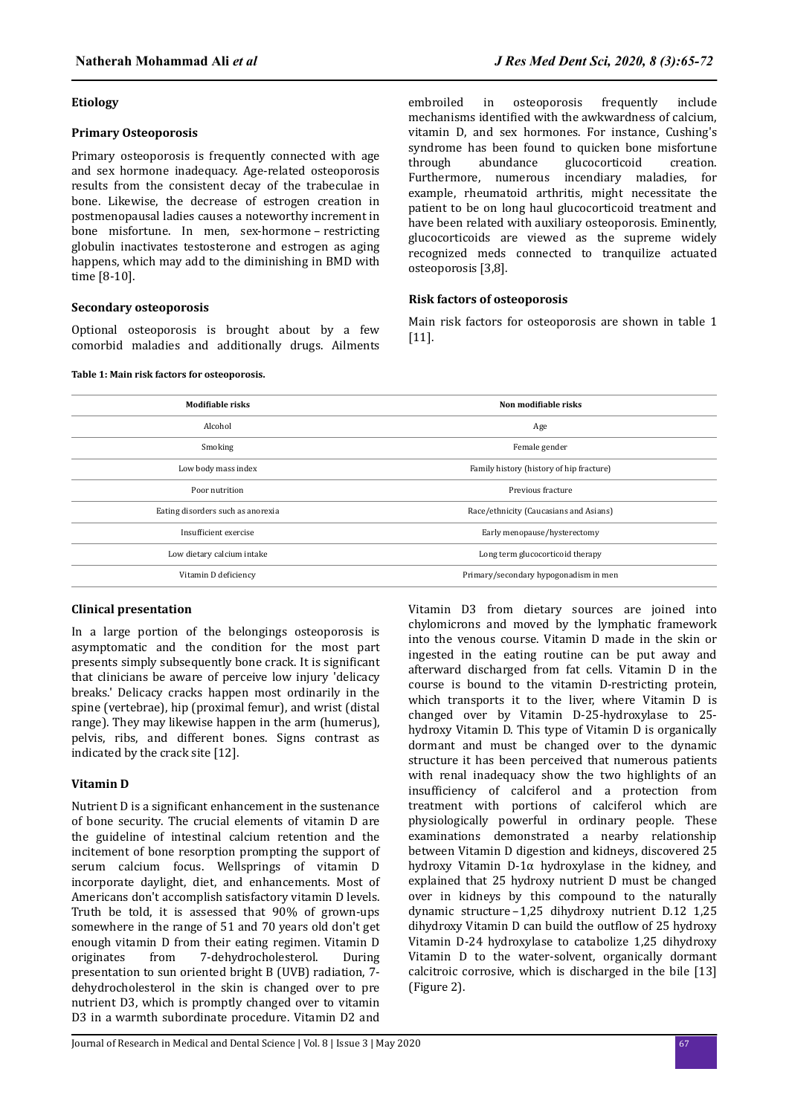## **Etiology**

## **Primary Osteoporosis**

Primary osteoporosis is frequently connected with age and sex hormone inadequacy. Age-related osteoporosis results from the consistent decay of the trabeculae in bone. Likewise, the decrease of estrogen creation in postmenopausal ladies causes a noteworthy increment in bone misfortune. In men, sex-hormone – restricting globulin inactivates testosterone and estrogen as aging happens, which may add to the diminishing in BMD with time [8-10].

## **Secondary osteoporosis**

Optional osteoporosis is brought about by a few comorbid maladies and additionally drugs. Ailments

#### **Table 1: Main risk factors for osteoporosis.**

embroiled in osteoporosis frequently include mechanisms identified with the awkwardness of calcium, vitamin D, and sex hormones. For instance, Cushing's syndrome has been found to quicken bone misfortune through abundance glucocorticoid creation. Furthermore, numerous incendiary maladies, for example, rheumatoid arthritis, might necessitate the patient to be on long haul glucocorticoid treatment and have been related with auxiliary osteoporosis. Eminently, glucocorticoids are viewed as the supreme widely recognized meds connected to tranquilize actuated osteoporosis [3,8].

#### **Risk factors of osteoporosis**

Main risk factors for osteoporosis are shown in table 1 [11].

# **odϐable risks Non modϐable risks** Alcohol Age Smoking Female gender Low body mass index Family history (history of hip fracture) Poor nutrition Previous fracture extensive previous fracture extensive previous fracture Eating disorders such as anorexia **Race-Example 3** Race/ethnicity (Caucasians and Asians) Insufficient exercise Early menopause/hysterectomy Low dietary calcium intake Long term glucocorticoid therapy Vitamin D deficiency **Primary**/secondary hypogonadism in men

# **Clinical presentation**

In a large portion of the belongings osteoporosis is asymptomatic and the condition for the most part presents simply subsequently bone crack. It is significant that clinicians be aware of perceive low injury 'delicacy breaks.' Delicacy cracks happen most ordinarily in the spine (vertebrae), hip (proximal femur), and wrist (distal range). They may likewise happen in the arm (humerus), pelvis, ribs, and different bones. Signs contrast as indicated by the crack site [12].

# **Vitamin D**

Nutrient D is a significant enhancement in the sustenance of bone security. The crucial elements of vitamin D are the guideline of intestinal calcium retention and the incitement of bone resorption prompting the support of serum calcium focus. Wellsprings of vitamin D incorporate daylight, diet, and enhancements. Most of Americans don't accomplish satisfactory vitamin D levels. Truth be told, it is assessed that 90% of grown-ups somewhere in the range of 51 and 70 years old don't get enough vitamin D from their eating regimen. Vitamin D originates from 7-dehydrocholesterol. During presentation to sun oriented bright B (UVB) radiation, 7 dehydrocholesterol in the skin is changed over to pre nutrient D3, which is promptly changed over to vitamin D3 in a warmth subordinate procedure. Vitamin D2 and

Vitamin D3 from dietary sources are joined into chylomicrons and moved by the lymphatic framework into the venous course. Vitamin D made in the skin or ingested in the eating routine can be put away and afterward discharged from fat cells. Vitamin D in the course is bound to the vitamin D-restricting protein, which transports it to the liver, where Vitamin D is changed over by Vitamin D-25-hydroxylase to 25 hydroxy Vitamin D. This type of Vitamin D is organically dormant and must be changed over to the dynamic structure it has been perceived that numerous patients with renal inadequacy show the two highlights of an insufficiency of calciferol and a protection from treatment with portions of calciferol which are physiologically powerful in ordinary people. These examinations demonstrated a nearby relationship between Vitamin D digestion and kidneys, discovered 25 hydroxy Vitamin D-1α hydroxylase in the kidney, and explained that 25 hydroxy nutrient D must be changed over in kidneys by this compound to the naturally dynamic structure–1,25 dihydroxy nutrient D.12 1,25 dihydroxy Vitamin D can build the outflow of 25 hydroxy Vitamin D-24 hydroxylase to catabolize 1,25 dihydroxy Vitamin D to the water-solvent, organically dormant calcitroic corrosive, which is discharged in the bile [13] (Figure 2).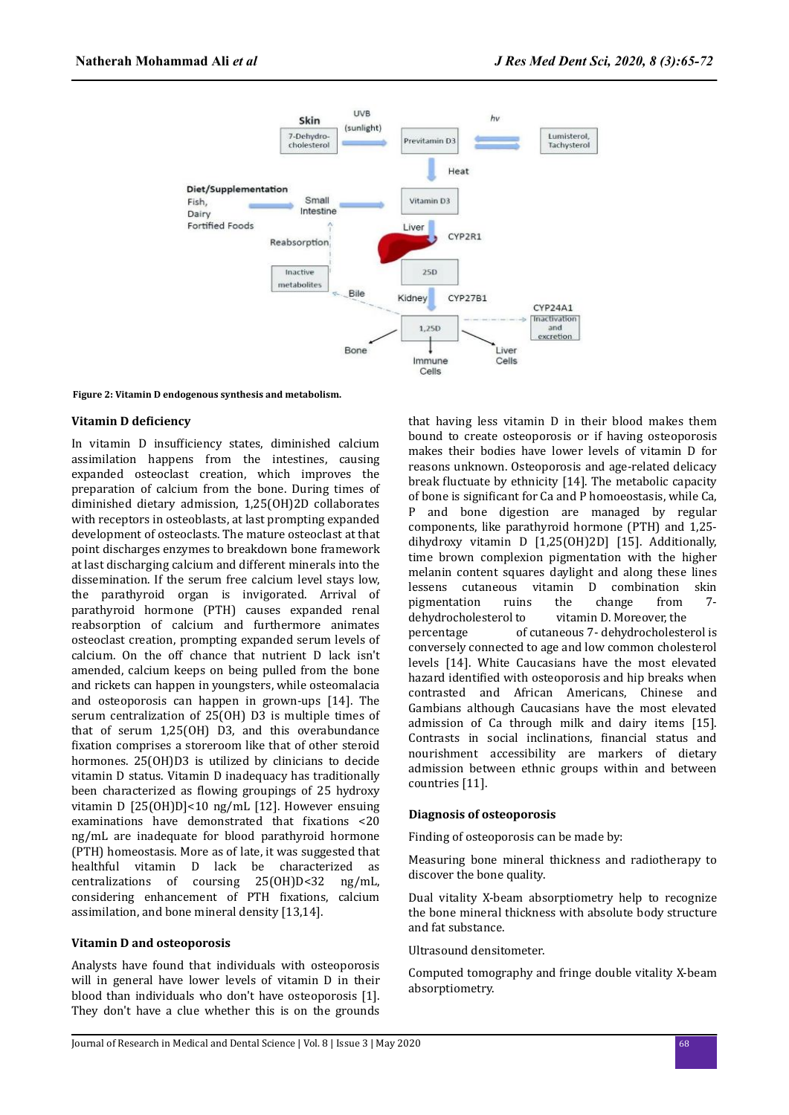

**Figure 2: Vitamin D endogenous synthesis and metabolism.**

## **Vitamin D deficiency**

In vitamin D insufficiency states, diminished calcium assimilation happens from the intestines, causing expanded osteoclast creation, which improves the preparation of calcium from the bone. During times of diminished dietary admission, 1,25(OH)2D collaborates with receptors in osteoblasts, at last prompting expanded development of osteoclasts. The mature osteoclast at that point discharges enzymes to breakdown bone framework at last discharging calcium and different minerals into the dissemination. If the serum free calcium level stays low, the parathyroid organ is invigorated. Arrival of parathyroid hormone (PTH) causes expanded renal reabsorption of calcium and furthermore animates osteoclast creation, prompting expanded serum levels of calcium. On the off chance that nutrient D lack isn't amended, calcium keeps on being pulled from the bone and rickets can happen in youngsters, while osteomalacia and osteoporosis can happen in grown-ups [14]. The serum centralization of 25(OH) D3 is multiple times of that of serum 1,25(OH) D3, and this overabundance fixation comprises a storeroom like that of other steroid hormones. 25(OH)D3 is utilized by clinicians to decide vitamin D status. Vitamin D inadequacy has traditionally been characterized as flowing groupings of 25 hydroxy vitamin D [25(OH)D]<10 ng/mL [12]. However ensuing examinations have demonstrated that fixations <20 ng/mL are inadequate for blood parathyroid hormone (PTH) homeostasis. More as of late, it was suggested that healthful vitamin D lack be characterized as centralizations of coursing 25(OH)D<32 ng/mL, considering enhancement of PTH fixations, calcium assimilation, and bone mineral density [13,14].

#### **Vitamin D and osteoporosis**

Analysts have found that individuals with osteoporosis will in general have lower levels of vitamin D in their blood than individuals who don't have osteoporosis [1]. They don't have a clue whether this is on the grounds that having less vitamin D in their blood makes them bound to create osteoporosis or if having osteoporosis makes their bodies have lower levels of vitamin D for reasons unknown. Osteoporosis and age-related delicacy break fluctuate by ethnicity [14]. The metabolic capacity of bone is significant for Ca and P homoeostasis, while Ca, P and bone digestion are managed by regular components, like parathyroid hormone (PTH) and 1,25 dihydroxy vitamin D [1,25(OH)2D] [15]. Additionally, time brown complexion pigmentation with the higher melanin content squares daylight and along these lines lessens cutaneous vitamin D combination skin pigmentation ruins the change from 7 dehydrocholesterol to vitamin D. Moreover, the percentage of cutaneous 7- dehydrocholesterol is conversely connected to age and low common cholesterol levels [14]. White Caucasians have the most elevated hazard identified with osteoporosis and hip breaks when contrasted and African Americans, Chinese and Gambians although Caucasians have the most elevated admission of Ca through milk and dairy items [15]. Contrasts in social inclinations, financial status and nourishment accessibility are markers of dietary admission between ethnic groups within and between countries [11].

#### **Diagnosis of osteoporosis**

Finding of osteoporosis can be made by:

Measuring bone mineral thickness and radiotherapy to discover the bone quality.

Dual vitality X-beam absorptiometry help to recognize the bone mineral thickness with absolute body structure and fat substance.

Ultrasound densitometer.

Computed tomography and fringe double vitality X-beam absorptiometry.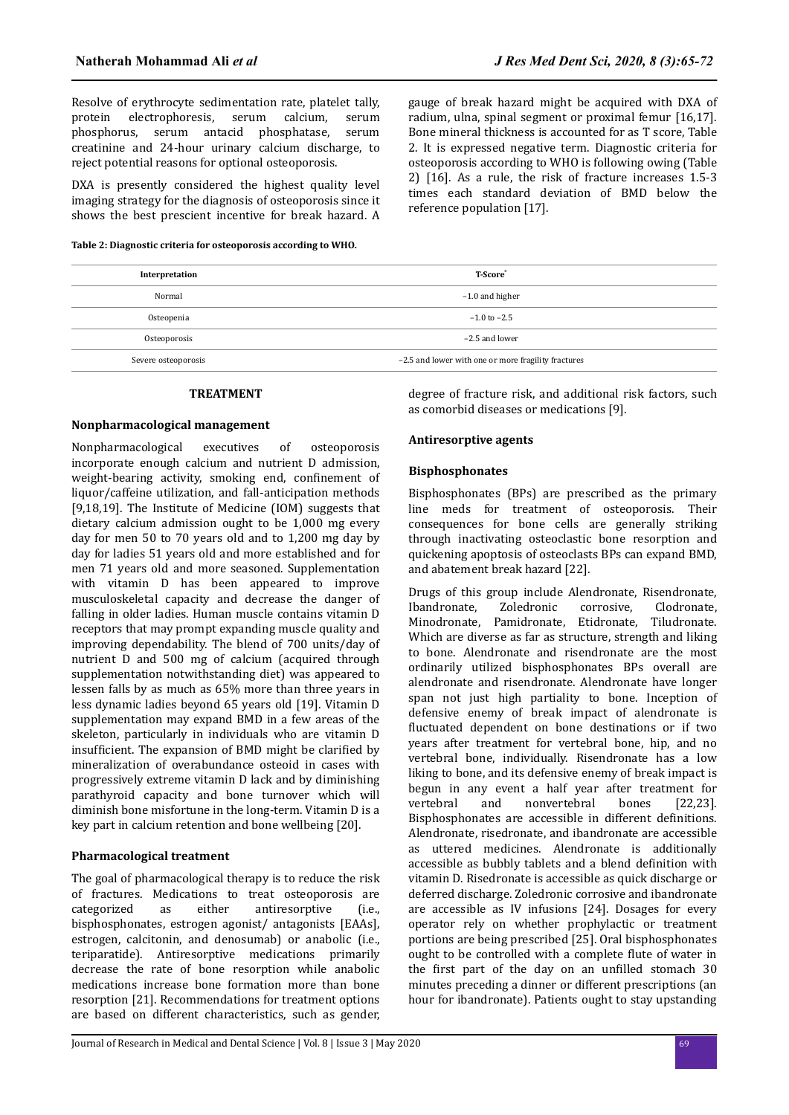Resolve of erythrocyte sedimentation rate, platelet tally, protein electrophoresis, serum calcium, serum phosphorus, serum antacid phosphatase, serum creatinine and 24-hour urinary calcium discharge, to reject potential reasons for optional osteoporosis.

DXA is presently considered the highest quality level imaging strategy for the diagnosis of osteoporosis since it shows the best prescient incentive for break hazard. A

**Table 2: Diagnostic criteria for osteoporosis according to WHO.**

gauge of break hazard might be acquired with DXA of radium, ulna, spinal segment or proximal femur [16,17]. Bone mineral thickness is accounted for as T score, Table 2. It is expressed negative term. Diagnostic criteria for osteoporosis according to WHO is following owing (Table 2) [16]. As a rule, the risk of fracture increases 1.5-3 times each standard deviation of BMD below the reference population [17].

| Interpretation      | <b>T-Score</b> *                                    |
|---------------------|-----------------------------------------------------|
| Normal              | $-1.0$ and higher                                   |
| Osteopenia          | $-1.0$ to $-2.5$                                    |
| Osteoporosis        | -2.5 and lower                                      |
| Severe osteoporosis | -2.5 and lower with one or more fragility fractures |

#### **TREATMENT**

#### **Nonpharmacological management**

Nonpharmacological executives of osteoporosis incorporate enough calcium and nutrient D admission, weight-bearing activity, smoking end, confinement of liquor/caffeine utilization, and fall-anticipation methods [9,18,19]. The Institute of Medicine (IOM) suggests that dietary calcium admission ought to be 1,000 mg every day for men 50 to 70 years old and to 1,200 mg day by day for ladies 51 years old and more established and for men 71 years old and more seasoned. Supplementation with vitamin D has been appeared to improve musculoskeletal capacity and decrease the danger of falling in older ladies. Human muscle contains vitamin D receptors that may prompt expanding muscle quality and improving dependability. The blend of 700 units/day of nutrient D and 500 mg of calcium (acquired through supplementation notwithstanding diet) was appeared to lessen falls by as much as 65% more than three years in less dynamic ladies beyond 65 years old [19]. Vitamin D supplementation may expand BMD in a few areas of the skeleton, particularly in individuals who are vitamin D insufficient. The expansion of BMD might be clarified by mineralization of overabundance osteoid in cases with progressively extreme vitamin D lack and by diminishing parathyroid capacity and bone turnover which will diminish bone misfortune in the long-term. Vitamin D is a key part in calcium retention and bone wellbeing [20].

#### **Pharmacological treatment**

The goal of pharmacological therapy is to reduce the risk of fractures. Medications to treat osteoporosis are categorized as either antiresorptive (i.e., bisphosphonates, estrogen agonist/ antagonists [EAAs], estrogen, calcitonin, and denosumab) or anabolic (i.e., teriparatide). Antiresorptive medications primarily decrease the rate of bone resorption while anabolic medications increase bone formation more than bone resorption [21]. Recommendations for treatment options are based on different characteristics, such as gender,

degree of fracture risk, and additional risk factors, such as comorbid diseases or medications [9].

# **Antiresorptive agents**

## **Bisphosphonates**

Bisphosphonates (BPs) are prescribed as the primary line meds for treatment of osteoporosis. Their consequences for bone cells are generally striking through inactivating osteoclastic bone resorption and quickening apoptosis of osteoclasts BPs can expand BMD, and abatement break hazard [22].

Drugs of this group include Alendronate, Risendronate, Ibandronate, Zoledronic corrosive, Clodronate, Minodronate, Pamidronate, Etidronate, Tiludronate. Which are diverse as far as structure, strength and liking to bone. Alendronate and risendronate are the most ordinarily utilized bisphosphonates BPs overall are alendronate and risendronate. Alendronate have longer span not just high partiality to bone. Inception of defensive enemy of break impact of alendronate is fluctuated dependent on bone destinations or if two years after treatment for vertebral bone, hip, and no vertebral bone, individually. Risendronate has a low liking to bone, and its defensive enemy of break impact is begun in any event a half year after treatment for vertebral and nonvertebral bones [22,23]. Bisphosphonates are accessible in different definitions. Alendronate, risedronate, and ibandronate are accessible as uttered medicines. Alendronate is additionally accessible as bubbly tablets and a blend definition with vitamin D. Risedronate is accessible as quick discharge or deferred discharge. Zoledronic corrosive and ibandronate are accessible as IV infusions [24]. Dosages for every operator rely on whether prophylactic or treatment portions are being prescribed [25]. Oral bisphosphonates ought to be controlled with a complete flute of water in the first part of the day on an unfilled stomach 30 minutes preceding a dinner or different prescriptions (an hour for ibandronate). Patients ought to stay upstanding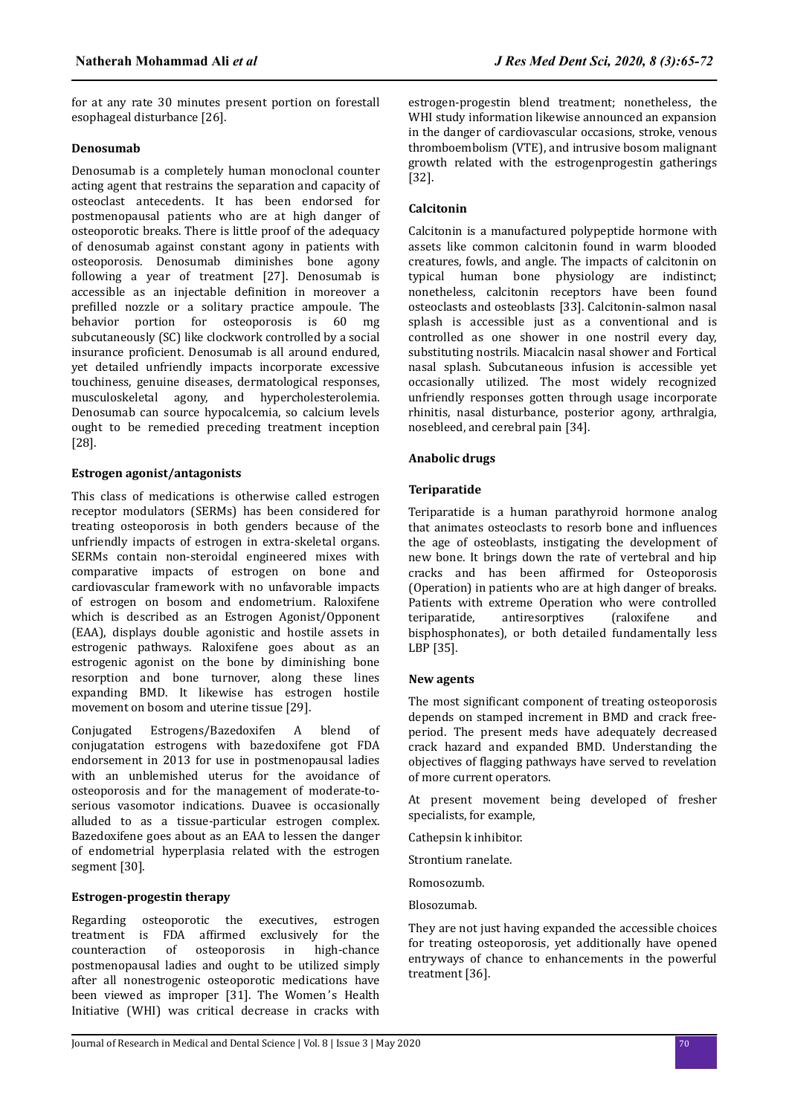for at any rate 30 minutes present portion on forestall esophageal disturbance [26].

# **Denosumab**

Denosumab is a completely human monoclonal counter acting agent that restrains the separation and capacity of osteoclast antecedents. It has been endorsed for postmenopausal patients who are at high danger of osteoporotic breaks. There is little proof of the adequacy of denosumab against constant agony in patients with osteoporosis. Denosumab diminishes bone agony following a year of treatment [27]. Denosumab is accessible as an injectable definition in moreover a prefilled nozzle or a solitary practice ampoule. The behavior portion for osteoporosis is 60 mg subcutaneously (SC) like clockwork controlled by a social insurance proficient. Denosumab is all around endured, yet detailed unfriendly impacts incorporate excessive touchiness, genuine diseases, dermatological responses, musculoskeletal agony, and hypercholesterolemia. Denosumab can source hypocalcemia, so calcium levels ought to be remedied preceding treatment inception [28].

# **Estrogen agonist/antagonists**

This class of medications is otherwise called estrogen receptor modulators (SERMs) has been considered for treating osteoporosis in both genders because of the unfriendly impacts of estrogen in extra-skeletal organs. SERMs contain non-steroidal engineered mixes with comparative impacts of estrogen on bone and cardiovascular framework with no unfavorable impacts of estrogen on bosom and endometrium. Raloxifene which is described as an Estrogen Agonist/Opponent (EAA), displays double agonistic and hostile assets in estrogenic pathways. Raloxifene goes about as an estrogenic agonist on the bone by diminishing bone resorption and bone turnover, along these lines expanding BMD. It likewise has estrogen hostile movement on bosom and uterine tissue [29].

Conjugated Estrogens/Bazedoxifen A blend of conjugatation estrogens with bazedoxifene got FDA endorsement in 2013 for use in postmenopausal ladies with an unblemished uterus for the avoidance of osteoporosis and for the management of moderate-toserious vasomotor indications. Duavee is occasionally alluded to as a tissue-particular estrogen complex. Bazedoxifene goes about as an EAA to lessen the danger of endometrial hyperplasia related with the estrogen segment [30].

# **Estrogen-progestin therapy**

Regarding osteoporotic the executives, estrogen treatment is FDA affirmed exclusively for the counteraction of osteoporosis in high-chance postmenopausal ladies and ought to be utilized simply after all nonestrogenic osteoporotic medications have been viewed as improper [31]. The Women's Health Initiative (WHI) was critical decrease in cracks with

estrogen-progestin blend treatment; nonetheless, the WHI study information likewise announced an expansion in the danger of cardiovascular occasions, stroke, venous thromboembolism (VTE), and intrusive bosom malignant growth related with the estrogenprogestin gatherings [32].

# **Calcitonin**

Calcitonin is a manufactured polypeptide hormone with assets like common calcitonin found in warm blooded creatures, fowls, and angle. The impacts of calcitonin on typical human bone physiology are indistinct; nonetheless, calcitonin receptors have been found osteoclasts and osteoblasts [33]. Calcitonin-salmon nasal splash is accessible just as a conventional and is controlled as one shower in one nostril every day, substituting nostrils. Miacalcin nasal shower and Fortical nasal splash. Subcutaneous infusion is accessible yet occasionally utilized. The most widely recognized unfriendly responses gotten through usage incorporate rhinitis, nasal disturbance, posterior agony, arthralgia, nosebleed, and cerebral pain [34].

# **Anabolic drugs**

# **Teriparatide**

Teriparatide is a human parathyroid hormone analog that animates osteoclasts to resorb bone and influences the age of osteoblasts, instigating the development of new bone. It brings down the rate of vertebral and hip cracks and has been affirmed for Osteoporosis (Operation) in patients who are at high danger of breaks. Patients with extreme Operation who were controlled teriparatide, antiresorptives (raloxifene and bisphosphonates), or both detailed fundamentally less LBP [35].

# **New agents**

The most significant component of treating osteoporosis depends on stamped increment in BMD and crack freeperiod. The present meds have adequately decreased crack hazard and expanded BMD. Understanding the objectives of flagging pathways have served to revelation of more current operators.

At present movement being developed of fresher specialists, for example,

Cathepsin k inhibitor.

Strontium ranelate.

Romosozumb.

Blosozumab.

They are not just having expanded the accessible choices for treating osteoporosis, yet additionally have opened entryways of chance to enhancements in the powerful treatment [36].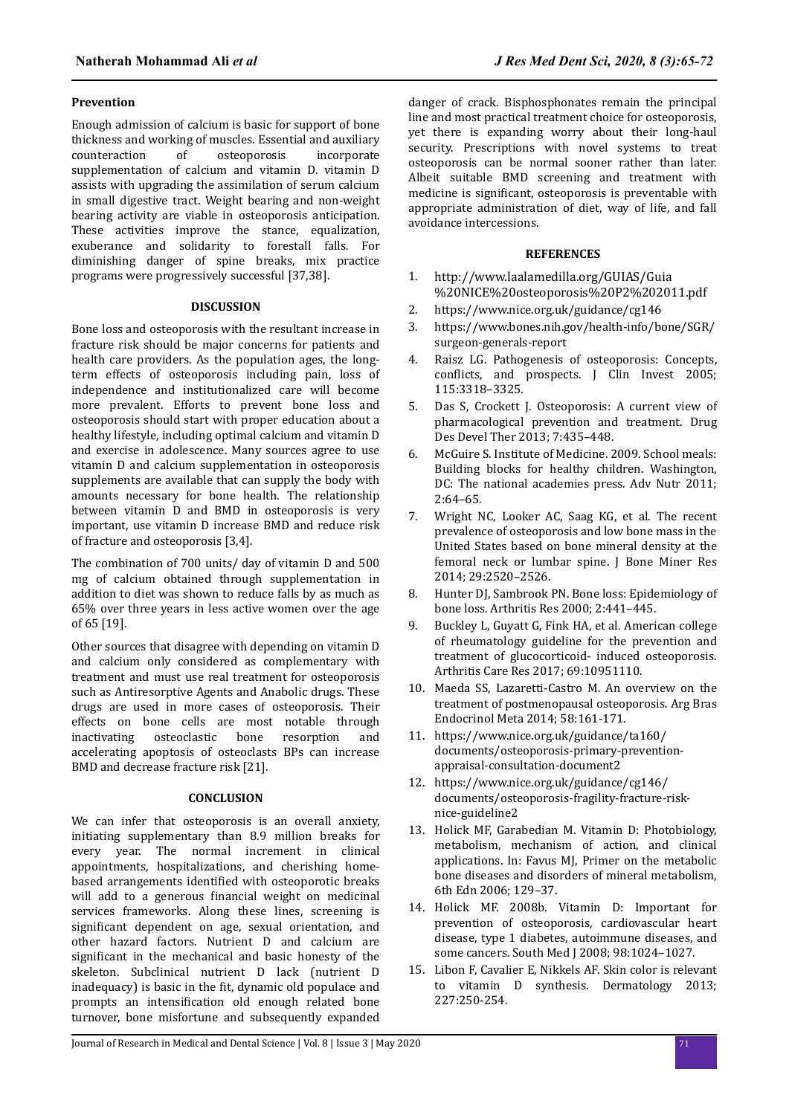## **Prevention**

Enough admission of calcium is basic for support of bone thickness and working of muscles. Essential and auxiliary counteraction of osteoporosis incorporate supplementation of calcium and vitamin D. vitamin D assists with upgrading the assimilation of serum calcium in small digestive tract. Weight bearing and non-weight bearing activity are viable in osteoporosis anticipation. These activities improve the stance, equalization, exuberance and solidarity to forestall falls. For diminishing danger of spine breaks, mix practice programs were progressively successful [37,38].

### **DISCUSSION**

Bone loss and osteoporosis with the resultant increase in fracture risk should be major concerns for patients and health care providers. As the population ages, the longterm effects of osteoporosis including pain, loss of independence and institutionalized care will become more prevalent. Efforts to prevent bone loss and osteoporosis should start with proper education about a healthy lifestyle, including optimal calcium and vitamin D and exercise in adolescence. Many sources agree to use vitamin D and calcium supplementation in osteoporosis supplements are available that can supply the body with amounts necessary for bone health. The relationship between vitamin D and BMD in osteoporosis is very important, use vitamin D increase BMD and reduce risk of fracture and osteoporosis [3,4].

The combination of 700 units/ day of vitamin D and 500 mg of calcium obtained through supplementation in addition to diet was shown to reduce falls by as much as 65% over three years in less active women over the age of 65 [19].

Other sources that disagree with depending on vitamin D and calcium only considered as complementary with treatment and must use real treatment for osteoporosis such as Antiresorptive Agents and Anabolic drugs. These drugs are used in more cases of osteoporosis. Their effects on bone cells are most notable through inactivating osteoclastic bone resorption and accelerating apoptosis of osteoclasts BPs can increase BMD and decrease fracture risk [21].

## **CONCLUSION**

We can infer that osteoporosis is an overall anxiety, initiating supplementary than 8.9 million breaks for every year. The normal increment in clinical appointments, hospitalizations, and cherishing homebased arrangements identified with osteoporotic breaks will add to a generous financial weight on medicinal services frameworks. Along these lines, screening is significant dependent on age, sexual orientation, and other hazard factors. Nutrient D and calcium are significant in the mechanical and basic honesty of the skeleton. Subclinical nutrient D lack (nutrient D inadequacy) is basic in the fit, dynamic old populace and prompts an intensification old enough related bone turnover, bone misfortune and subsequently expanded

danger of crack. Bisphosphonates remain the principal line and most practical treatment choice for osteoporosis, yet there is expanding worry about their long-haul security. Prescriptions with novel systems to treat osteoporosis can be normal sooner rather than later. Albeit suitable BMD screening and treatment with medicine is significant, osteoporosis is preventable with appropriate administration of diet, way of life, and fall avoidance intercessions.

# **REFERENCES**

- 1. [http://www.laalamedilla.org/GUIAS/Guia](http://www.laalamedilla.org/GUIAS/Guia%20NICE%20osteoporosis%20P2%202011.pdf) [%20NICE%20osteoporosis%20P2%202011.pdf](http://www.laalamedilla.org/GUIAS/Guia%20NICE%20osteoporosis%20P2%202011.pdf)
- 2. https://www.nice.org.uk/guidance/cg146
- 3. https://www.bones.nih.gov/health-info/bone/SGR/ surgeon-generals-report
- 4. Raisz LG. Pathogenesis of osteoporosis: Concepts, conflicts, and prospects. J Clin Invest 2005; 115:3318–3325.
- 5. Das S, Crockett J. Osteoporosis: A current view of pharmacological prevention and treatment. Drug Des Devel Ther 2013; 7:435–448.
- 6. McGuire S. Institute of Medicine. 2009. School meals: Building blocks for healthy children. Washington, DC: The national academies press. Adv Nutr 2011; 2:64–65.
- 7. Wright NC, Looker AC, Saag KG, et al. The recent prevalence of osteoporosis and low bone mass in the United States based on bone mineral density at the femoral neck or lumbar spine. I Bone Miner Res 2014; 29:2520–2526.
- 8. Hunter DJ, Sambrook PN. Bone loss: Epidemiology of bone loss. Arthritis Res 2000; 2:441–445.
- 9. Buckley L, Guyatt G, Fink HA, et al. American college of rheumatology guideline for the prevention and treatment of glucocorticoid- induced osteoporosis. Arthritis Care Res 2017; 69:10951110.
- 10. Maeda SS, Lazaretti-Castro M. An overview on the treatment of postmenopausal osteoporosis. Arg Bras Endocrinol Meta 2014; 58:161-171.
- 11. https://www.nice.org.uk/guidance/ta160/ documents/osteoporosis-primary-preventionappraisal-consultation-document2
- 12. https://www.nice.org.uk/guidance/cg146/ documents/osteoporosis-fragility-fracture-risknice-guideline2
- 13. Holick MF, Garabedian M. Vitamin D: Photobiology, metabolism, mechanism of action, and clinical applications. In: Favus MJ, Primer on the metabolic bone diseases and disorders of mineral metabolism, 6th Edn 2006; 129–37.
- 14. Holick MF. 2008b. Vitamin D: Important for prevention of osteoporosis, cardiovascular heart disease, type 1 diabetes, autoimmune diseases, and some cancers. South Med J 2008; 98:1024–1027.
- 15. Libon F, Cavalier E, Nikkels AF. Skin color is relevant to vitamin D synthesis. Dermatology 2013; 227:250-254.